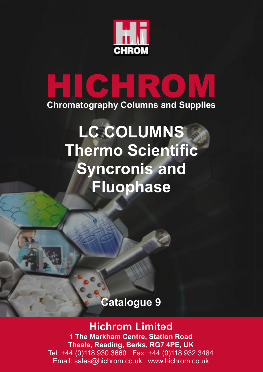

# **HICHROM Chromatography Columns and Supplies**

## **LC COLUMNS Thermo Scientific Syncronis and Fluophase**

## **Catalogue 9**

## **Hichrom Limited**

**1 The Markham Centre, Station Road Theale, Reading, Berks, RG7 4PE, UK** Tel: +44 (0)118 930 3660 Fax: +44 (0)118 932 3484 Email: sales@hichrom.co.uk www.hichrom.co.uk